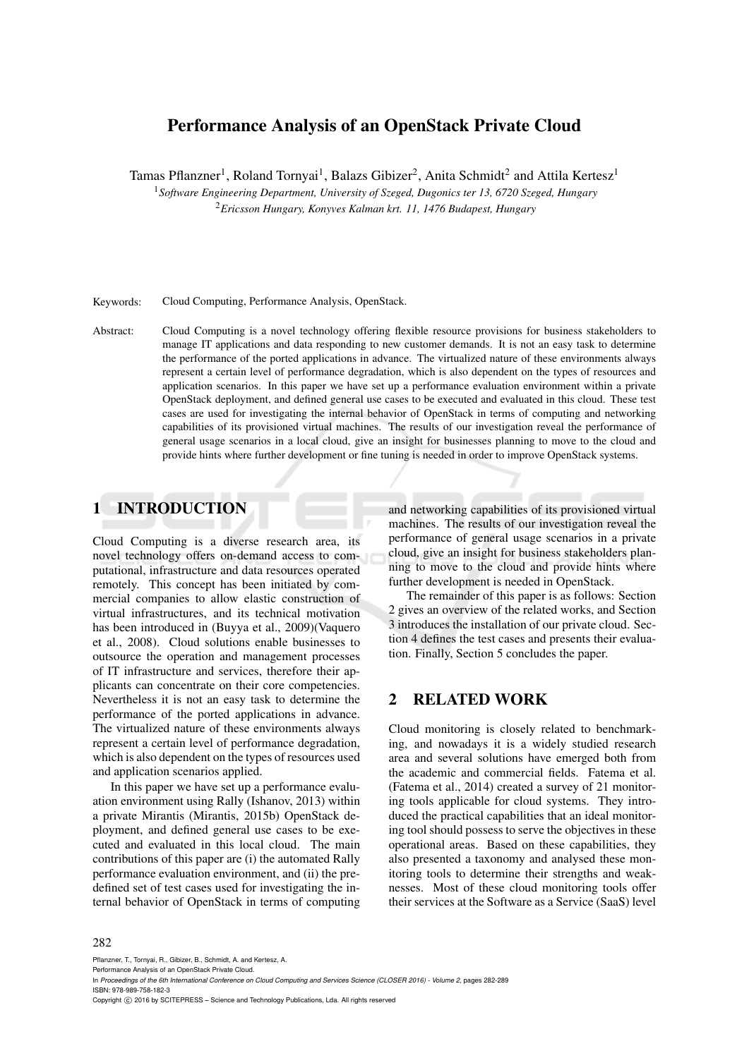## Performance Analysis of an OpenStack Private Cloud

Tamas Pflanzner<sup>1</sup>, Roland Tornyai<sup>1</sup>, Balazs Gibizer<sup>2</sup>, Anita Schmidt<sup>2</sup> and Attila Kertesz<sup>1</sup>

<sup>1</sup>*Software Engineering Department, University of Szeged, Dugonics ter 13, 6720 Szeged, Hungary* <sup>2</sup>*Ericsson Hungary, Konyves Kalman krt. 11, 1476 Budapest, Hungary*

Keywords: Cloud Computing, Performance Analysis, OpenStack.

Abstract: Cloud Computing is a novel technology offering flexible resource provisions for business stakeholders to manage IT applications and data responding to new customer demands. It is not an easy task to determine the performance of the ported applications in advance. The virtualized nature of these environments always represent a certain level of performance degradation, which is also dependent on the types of resources and application scenarios. In this paper we have set up a performance evaluation environment within a private OpenStack deployment, and defined general use cases to be executed and evaluated in this cloud. These test cases are used for investigating the internal behavior of OpenStack in terms of computing and networking capabilities of its provisioned virtual machines. The results of our investigation reveal the performance of general usage scenarios in a local cloud, give an insight for businesses planning to move to the cloud and provide hints where further development or fine tuning is needed in order to improve OpenStack systems.

## 1 INTRODUCTION

Cloud Computing is a diverse research area, its novel technology offers on-demand access to computational, infrastructure and data resources operated remotely. This concept has been initiated by commercial companies to allow elastic construction of virtual infrastructures, and its technical motivation has been introduced in (Buyya et al., 2009)(Vaquero et al., 2008). Cloud solutions enable businesses to outsource the operation and management processes of IT infrastructure and services, therefore their applicants can concentrate on their core competencies. Nevertheless it is not an easy task to determine the performance of the ported applications in advance. The virtualized nature of these environments always represent a certain level of performance degradation, which is also dependent on the types of resources used and application scenarios applied.

In this paper we have set up a performance evaluation environment using Rally (Ishanov, 2013) within a private Mirantis (Mirantis, 2015b) OpenStack deployment, and defined general use cases to be executed and evaluated in this local cloud. The main contributions of this paper are (i) the automated Rally performance evaluation environment, and (ii) the predefined set of test cases used for investigating the internal behavior of OpenStack in terms of computing and networking capabilities of its provisioned virtual machines. The results of our investigation reveal the performance of general usage scenarios in a private cloud, give an insight for business stakeholders planning to move to the cloud and provide hints where further development is needed in OpenStack.

The remainder of this paper is as follows: Section 2 gives an overview of the related works, and Section 3 introduces the installation of our private cloud. Section 4 defines the test cases and presents their evaluation. Finally, Section 5 concludes the paper.

## 2 RELATED WORK

Cloud monitoring is closely related to benchmarking, and nowadays it is a widely studied research area and several solutions have emerged both from the academic and commercial fields. Fatema et al. (Fatema et al., 2014) created a survey of 21 monitoring tools applicable for cloud systems. They introduced the practical capabilities that an ideal monitoring tool should possess to serve the objectives in these operational areas. Based on these capabilities, they also presented a taxonomy and analysed these monitoring tools to determine their strengths and weaknesses. Most of these cloud monitoring tools offer their services at the Software as a Service (SaaS) level

Pflanzner, T., Tornyai, R., Gibizer, B., Schmidt, A. and Kertesz, A. Performance Analysis of an OpenStack Private Cloud.

In *Proceedings of the 6th International Conference on Cloud Computing and Services Science (CLOSER 2016) - Volume 2*, pages 282-289 ISBN: 978-989-758-182-3

Copyright C 2016 by SCITEPRESS – Science and Technology Publications, Lda. All rights reserved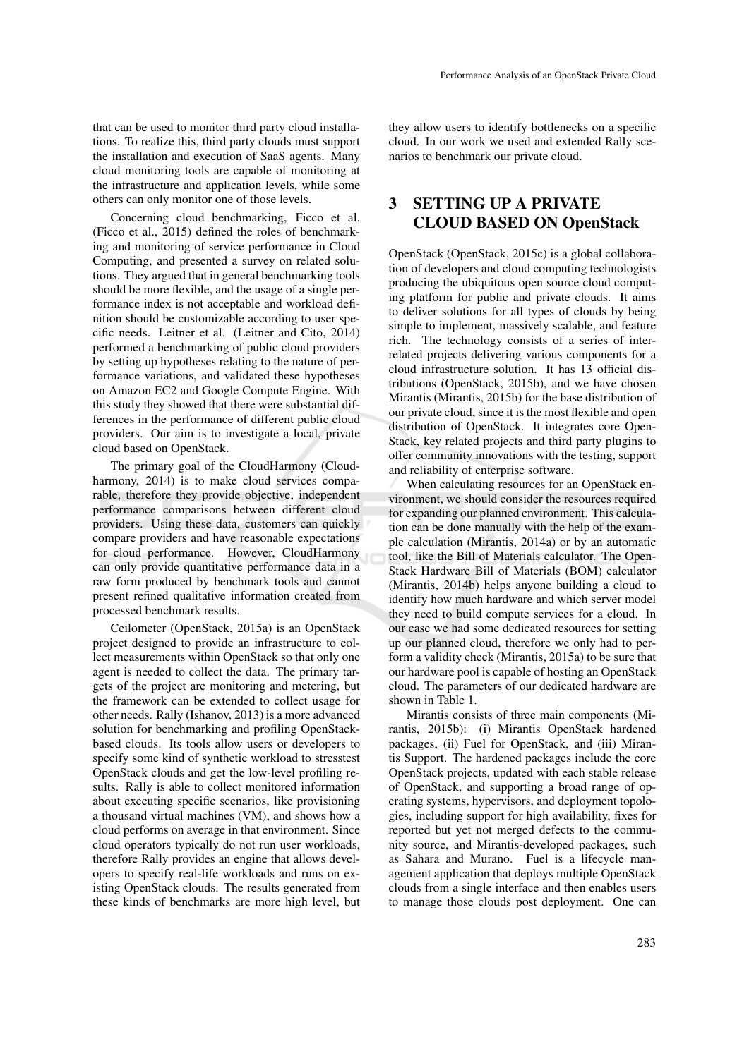that can be used to monitor third party cloud installations. To realize this, third party clouds must support the installation and execution of SaaS agents. Many cloud monitoring tools are capable of monitoring at the infrastructure and application levels, while some others can only monitor one of those levels.

Concerning cloud benchmarking, Ficco et al. (Ficco et al., 2015) defined the roles of benchmarking and monitoring of service performance in Cloud Computing, and presented a survey on related solutions. They argued that in general benchmarking tools should be more flexible, and the usage of a single performance index is not acceptable and workload definition should be customizable according to user specific needs. Leitner et al. (Leitner and Cito, 2014) performed a benchmarking of public cloud providers by setting up hypotheses relating to the nature of performance variations, and validated these hypotheses on Amazon EC2 and Google Compute Engine. With this study they showed that there were substantial differences in the performance of different public cloud providers. Our aim is to investigate a local, private cloud based on OpenStack.

The primary goal of the CloudHarmony (Cloudharmony, 2014) is to make cloud services comparable, therefore they provide objective, independent performance comparisons between different cloud providers. Using these data, customers can quickly compare providers and have reasonable expectations for cloud performance. However, CloudHarmony can only provide quantitative performance data in a raw form produced by benchmark tools and cannot present refined qualitative information created from processed benchmark results.

Ceilometer (OpenStack, 2015a) is an OpenStack project designed to provide an infrastructure to collect measurements within OpenStack so that only one agent is needed to collect the data. The primary targets of the project are monitoring and metering, but the framework can be extended to collect usage for other needs. Rally (Ishanov, 2013) is a more advanced solution for benchmarking and profiling OpenStackbased clouds. Its tools allow users or developers to specify some kind of synthetic workload to stresstest OpenStack clouds and get the low-level profiling results. Rally is able to collect monitored information about executing specific scenarios, like provisioning a thousand virtual machines (VM), and shows how a cloud performs on average in that environment. Since cloud operators typically do not run user workloads, therefore Rally provides an engine that allows developers to specify real-life workloads and runs on existing OpenStack clouds. The results generated from these kinds of benchmarks are more high level, but they allow users to identify bottlenecks on a specific cloud. In our work we used and extended Rally scenarios to benchmark our private cloud.

## 3 SETTING UP A PRIVATE CLOUD BASED ON OpenStack

OpenStack (OpenStack, 2015c) is a global collaboration of developers and cloud computing technologists producing the ubiquitous open source cloud computing platform for public and private clouds. It aims to deliver solutions for all types of clouds by being simple to implement, massively scalable, and feature rich. The technology consists of a series of interrelated projects delivering various components for a cloud infrastructure solution. It has 13 official distributions (OpenStack, 2015b), and we have chosen Mirantis (Mirantis, 2015b) for the base distribution of our private cloud, since it is the most flexible and open distribution of OpenStack. It integrates core Open-Stack, key related projects and third party plugins to offer community innovations with the testing, support and reliability of enterprise software.

When calculating resources for an OpenStack environment, we should consider the resources required for expanding our planned environment. This calculation can be done manually with the help of the example calculation (Mirantis, 2014a) or by an automatic tool, like the Bill of Materials calculator. The Open-Stack Hardware Bill of Materials (BOM) calculator (Mirantis, 2014b) helps anyone building a cloud to identify how much hardware and which server model they need to build compute services for a cloud. In our case we had some dedicated resources for setting up our planned cloud, therefore we only had to perform a validity check (Mirantis, 2015a) to be sure that our hardware pool is capable of hosting an OpenStack cloud. The parameters of our dedicated hardware are shown in Table 1.

Mirantis consists of three main components (Mirantis, 2015b): (i) Mirantis OpenStack hardened packages, (ii) Fuel for OpenStack, and (iii) Mirantis Support. The hardened packages include the core OpenStack projects, updated with each stable release of OpenStack, and supporting a broad range of operating systems, hypervisors, and deployment topologies, including support for high availability, fixes for reported but yet not merged defects to the community source, and Mirantis-developed packages, such as Sahara and Murano. Fuel is a lifecycle management application that deploys multiple OpenStack clouds from a single interface and then enables users to manage those clouds post deployment. One can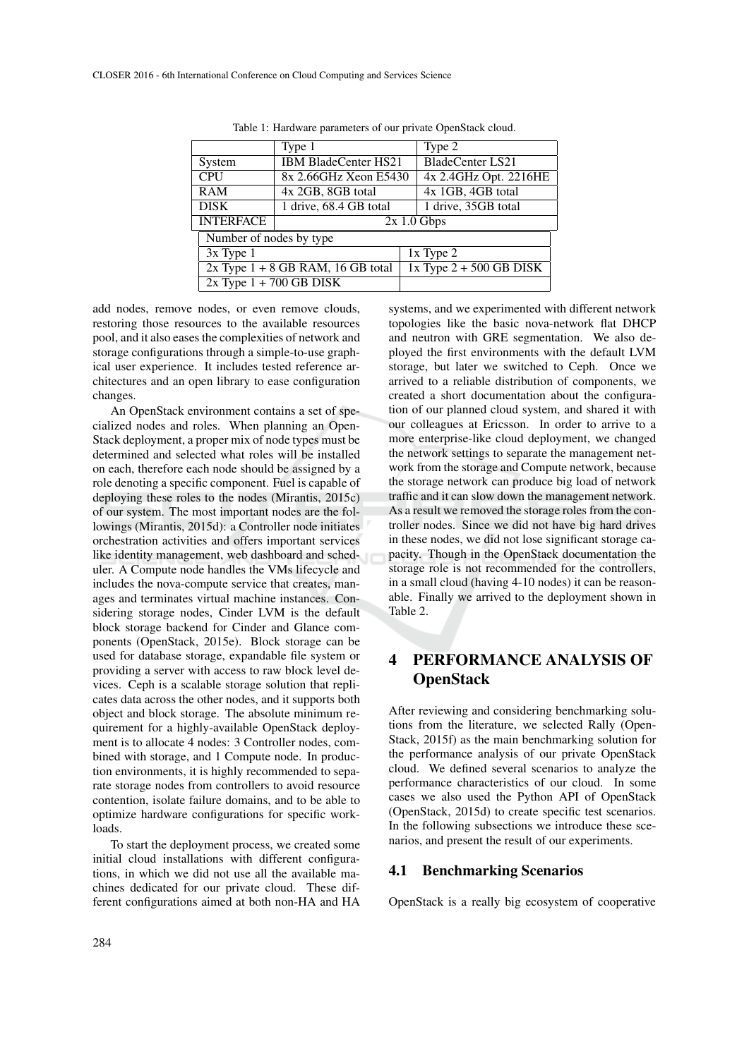|                             | Type 1                                         | Type 2                      |  |  |  |  |
|-----------------------------|------------------------------------------------|-----------------------------|--|--|--|--|
| System                      | <b>IBM BladeCenter HS21</b>                    | <b>BladeCenter LS21</b>     |  |  |  |  |
| <b>CPU</b>                  | 4x 2.4GHz Opt. 2216HE<br>8x 2.66GHz Xeon E5430 |                             |  |  |  |  |
| <b>RAM</b>                  | 4x 2GB, 8GB total                              | 4x 1GB, 4GB total           |  |  |  |  |
| <b>DISK</b>                 | 1 drive, 35GB total<br>1 drive, 68.4 GB total  |                             |  |  |  |  |
| <b>INTERFACE</b>            | $2x 1.0$ Gbps                                  |                             |  |  |  |  |
| Number of nodes by type     |                                                |                             |  |  |  |  |
| $3x$ Type 1                 |                                                | $1x$ Type $2$               |  |  |  |  |
|                             | $2x$ Type $1 + 8$ GB RAM, 16 GB total          | $1x$ Type $2 + 500$ GB DISK |  |  |  |  |
| $2x$ Type $1 + 700$ GB DISK |                                                |                             |  |  |  |  |

Table 1: Hardware parameters of our private OpenStack cloud.

add nodes, remove nodes, or even remove clouds, restoring those resources to the available resources pool, and it also eases the complexities of network and storage configurations through a simple-to-use graphical user experience. It includes tested reference architectures and an open library to ease configuration changes.

An OpenStack environment contains a set of specialized nodes and roles. When planning an Open-Stack deployment, a proper mix of node types must be determined and selected what roles will be installed on each, therefore each node should be assigned by a role denoting a specific component. Fuel is capable of deploying these roles to the nodes (Mirantis, 2015c) of our system. The most important nodes are the followings (Mirantis, 2015d): a Controller node initiates orchestration activities and offers important services like identity management, web dashboard and scheduler. A Compute node handles the VMs lifecycle and includes the nova-compute service that creates, manages and terminates virtual machine instances. Considering storage nodes, Cinder LVM is the default block storage backend for Cinder and Glance components (OpenStack, 2015e). Block storage can be used for database storage, expandable file system or providing a server with access to raw block level devices. Ceph is a scalable storage solution that replicates data across the other nodes, and it supports both object and block storage. The absolute minimum requirement for a highly-available OpenStack deployment is to allocate 4 nodes: 3 Controller nodes, combined with storage, and 1 Compute node. In production environments, it is highly recommended to separate storage nodes from controllers to avoid resource contention, isolate failure domains, and to be able to optimize hardware configurations for specific workloads.

To start the deployment process, we created some initial cloud installations with different configurations, in which we did not use all the available machines dedicated for our private cloud. These different configurations aimed at both non-HA and HA

systems, and we experimented with different network topologies like the basic nova-network flat DHCP and neutron with GRE segmentation. We also deployed the first environments with the default LVM storage, but later we switched to Ceph. Once we arrived to a reliable distribution of components, we created a short documentation about the configuration of our planned cloud system, and shared it with our colleagues at Ericsson. In order to arrive to a more enterprise-like cloud deployment, we changed the network settings to separate the management network from the storage and Compute network, because the storage network can produce big load of network traffic and it can slow down the management network. As a result we removed the storage roles from the controller nodes. Since we did not have big hard drives in these nodes, we did not lose significant storage capacity. Though in the OpenStack documentation the storage role is not recommended for the controllers, in a small cloud (having 4-10 nodes) it can be reasonable. Finally we arrived to the deployment shown in Table 2.

## PERFORMANCE ANALYSIS OF **OpenStack**

After reviewing and considering benchmarking solutions from the literature, we selected Rally (Open-Stack, 2015f) as the main benchmarking solution for the performance analysis of our private OpenStack cloud. We defined several scenarios to analyze the performance characteristics of our cloud. In some cases we also used the Python API of OpenStack (OpenStack, 2015d) to create specific test scenarios. In the following subsections we introduce these scenarios, and present the result of our experiments.

#### 4.1 Benchmarking Scenarios

OpenStack is a really big ecosystem of cooperative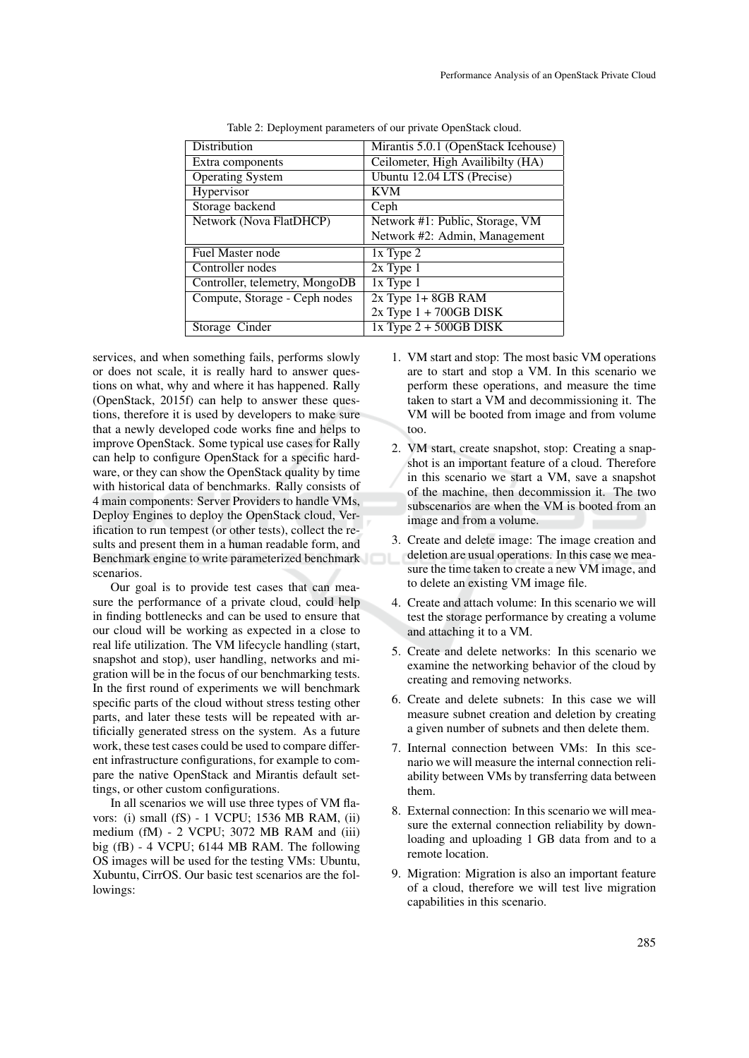| Mirantis 5.0.1 (OpenStack Icehouse) |  |  |  |  |
|-------------------------------------|--|--|--|--|
| Ceilometer, High Availibilty (HA)   |  |  |  |  |
| Ubuntu 12.04 LTS (Precise)          |  |  |  |  |
| <b>KVM</b>                          |  |  |  |  |
| Ceph                                |  |  |  |  |
| Network #1: Public, Storage, VM     |  |  |  |  |
| Network #2: Admin, Management       |  |  |  |  |
| $1x$ Type $2$                       |  |  |  |  |
| $2x$ Type 1                         |  |  |  |  |
| $1x$ Type $1$                       |  |  |  |  |
| $2x$ Type 1+8GB RAM                 |  |  |  |  |
| $2x$ Type $1 + 700$ GB DISK         |  |  |  |  |
| $1x$ Type $2 + 500$ GB DISK         |  |  |  |  |
|                                     |  |  |  |  |

Table 2: Deployment parameters of our private OpenStack cloud.

services, and when something fails, performs slowly or does not scale, it is really hard to answer questions on what, why and where it has happened. Rally (OpenStack, 2015f) can help to answer these questions, therefore it is used by developers to make sure that a newly developed code works fine and helps to improve OpenStack. Some typical use cases for Rally can help to configure OpenStack for a specific hardware, or they can show the OpenStack quality by time with historical data of benchmarks. Rally consists of 4 main components: Server Providers to handle VMs, Deploy Engines to deploy the OpenStack cloud, Verification to run tempest (or other tests), collect the results and present them in a human readable form, and Benchmark engine to write parameterized benchmark scenarios.

Our goal is to provide test cases that can measure the performance of a private cloud, could help in finding bottlenecks and can be used to ensure that our cloud will be working as expected in a close to real life utilization. The VM lifecycle handling (start, snapshot and stop), user handling, networks and migration will be in the focus of our benchmarking tests. In the first round of experiments we will benchmark specific parts of the cloud without stress testing other parts, and later these tests will be repeated with artificially generated stress on the system. As a future work, these test cases could be used to compare different infrastructure configurations, for example to compare the native OpenStack and Mirantis default settings, or other custom configurations.

In all scenarios we will use three types of VM flavors: (i) small (fS) - 1 VCPU; 1536 MB RAM, (ii) medium (fM) - 2 VCPU; 3072 MB RAM and (iii) big (fB) - 4 VCPU; 6144 MB RAM. The following OS images will be used for the testing VMs: Ubuntu, Xubuntu, CirrOS. Our basic test scenarios are the followings:

- 1. VM start and stop: The most basic VM operations are to start and stop a VM. In this scenario we perform these operations, and measure the time taken to start a VM and decommissioning it. The VM will be booted from image and from volume too.
- 2. VM start, create snapshot, stop: Creating a snapshot is an important feature of a cloud. Therefore in this scenario we start a VM, save a snapshot of the machine, then decommission it. The two subscenarios are when the VM is booted from an image and from a volume.
- 3. Create and delete image: The image creation and deletion are usual operations. In this case we measure the time taken to create a new VM image, and to delete an existing VM image file.
- 4. Create and attach volume: In this scenario we will test the storage performance by creating a volume and attaching it to a VM.
- 5. Create and delete networks: In this scenario we examine the networking behavior of the cloud by creating and removing networks.
- 6. Create and delete subnets: In this case we will measure subnet creation and deletion by creating a given number of subnets and then delete them.
- 7. Internal connection between VMs: In this scenario we will measure the internal connection reliability between VMs by transferring data between them.
- 8. External connection: In this scenario we will measure the external connection reliability by downloading and uploading 1 GB data from and to a remote location.
- 9. Migration: Migration is also an important feature of a cloud, therefore we will test live migration capabilities in this scenario.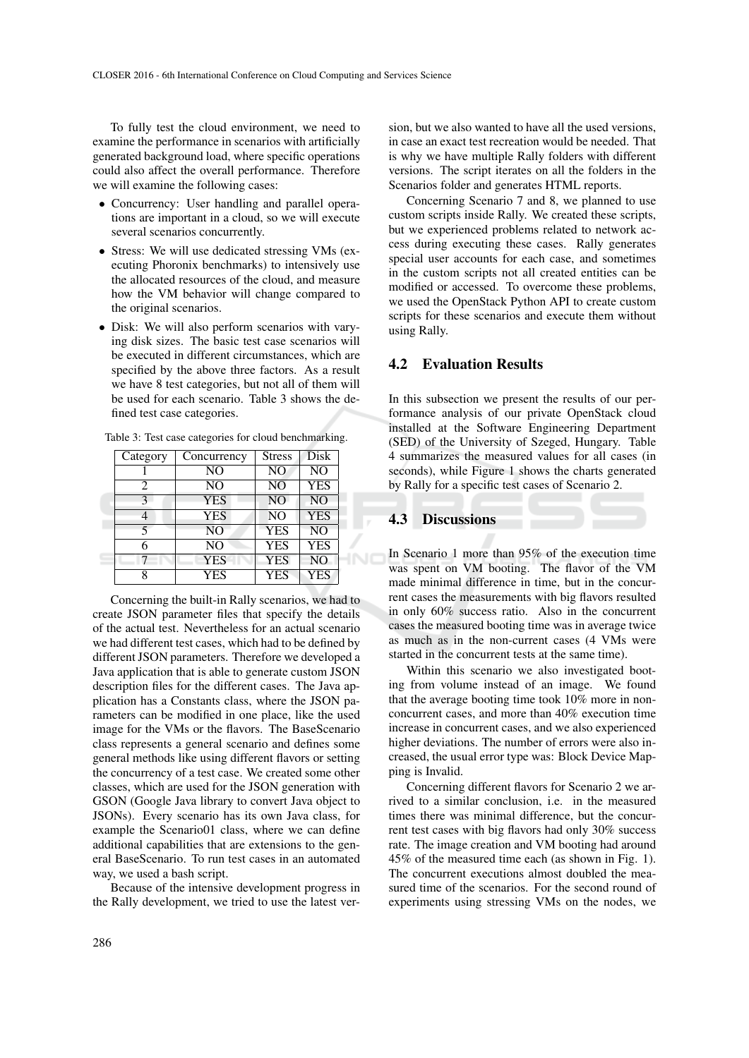To fully test the cloud environment, we need to examine the performance in scenarios with artificially generated background load, where specific operations could also affect the overall performance. Therefore we will examine the following cases:

- Concurrency: User handling and parallel operations are important in a cloud, so we will execute several scenarios concurrently.
- Stress: We will use dedicated stressing VMs (executing Phoronix benchmarks) to intensively use the allocated resources of the cloud, and measure how the VM behavior will change compared to the original scenarios.
- Disk: We will also perform scenarios with varying disk sizes. The basic test case scenarios will be executed in different circumstances, which are specified by the above three factors. As a result we have 8 test categories, but not all of them will be used for each scenario. Table 3 shows the defined test case categories.

| Category | Concurrency    | <b>Stress</b>  | Disk           |  |  |
|----------|----------------|----------------|----------------|--|--|
|          | N <sub>O</sub> | N <sub>O</sub> | N <sub>O</sub> |  |  |
|          | NO             | N <sub>O</sub> | <b>YES</b>     |  |  |
| κ        | <b>YES</b>     | N <sub>O</sub> | N <sub>O</sub> |  |  |
|          | <b>YES</b>     | N <sub>O</sub> | <b>YES</b>     |  |  |
|          | N <sub>O</sub> | <b>YES</b>     | N <sub>O</sub> |  |  |
|          | N <sub>O</sub> | <b>YES</b>     | <b>YES</b>     |  |  |
|          | <b>YES</b>     | <b>YES</b>     | N <sub>O</sub> |  |  |
|          | <b>YES</b>     | <b>YES</b>     | <b>YES</b>     |  |  |
|          |                |                |                |  |  |

Table 3: Test case categories for cloud benchmarking.

Concerning the built-in Rally scenarios, we had to create JSON parameter files that specify the details of the actual test. Nevertheless for an actual scenario we had different test cases, which had to be defined by different JSON parameters. Therefore we developed a Java application that is able to generate custom JSON description files for the different cases. The Java application has a Constants class, where the JSON parameters can be modified in one place, like the used image for the VMs or the flavors. The BaseScenario class represents a general scenario and defines some general methods like using different flavors or setting the concurrency of a test case. We created some other classes, which are used for the JSON generation with GSON (Google Java library to convert Java object to JSONs). Every scenario has its own Java class, for example the Scenario01 class, where we can define additional capabilities that are extensions to the general BaseScenario. To run test cases in an automated way, we used a bash script.

Because of the intensive development progress in the Rally development, we tried to use the latest version, but we also wanted to have all the used versions, in case an exact test recreation would be needed. That is why we have multiple Rally folders with different versions. The script iterates on all the folders in the Scenarios folder and generates HTML reports.

Concerning Scenario 7 and 8, we planned to use custom scripts inside Rally. We created these scripts, but we experienced problems related to network access during executing these cases. Rally generates special user accounts for each case, and sometimes in the custom scripts not all created entities can be modified or accessed. To overcome these problems, we used the OpenStack Python API to create custom scripts for these scenarios and execute them without using Rally.

#### 4.2 Evaluation Results

In this subsection we present the results of our performance analysis of our private OpenStack cloud installed at the Software Engineering Department (SED) of the University of Szeged, Hungary. Table 4 summarizes the measured values for all cases (in seconds), while Figure 1 shows the charts generated by Rally for a specific test cases of Scenario 2.

#### 4.3 Discussions

In Scenario 1 more than 95% of the execution time was spent on VM booting. The flavor of the VM made minimal difference in time, but in the concurrent cases the measurements with big flavors resulted in only 60% success ratio. Also in the concurrent cases the measured booting time was in average twice as much as in the non-current cases (4 VMs were started in the concurrent tests at the same time).

Within this scenario we also investigated booting from volume instead of an image. We found that the average booting time took 10% more in nonconcurrent cases, and more than 40% execution time increase in concurrent cases, and we also experienced higher deviations. The number of errors were also increased, the usual error type was: Block Device Mapping is Invalid.

Concerning different flavors for Scenario 2 we arrived to a similar conclusion, i.e. in the measured times there was minimal difference, but the concurrent test cases with big flavors had only 30% success rate. The image creation and VM booting had around 45% of the measured time each (as shown in Fig. 1). The concurrent executions almost doubled the measured time of the scenarios. For the second round of experiments using stressing VMs on the nodes, we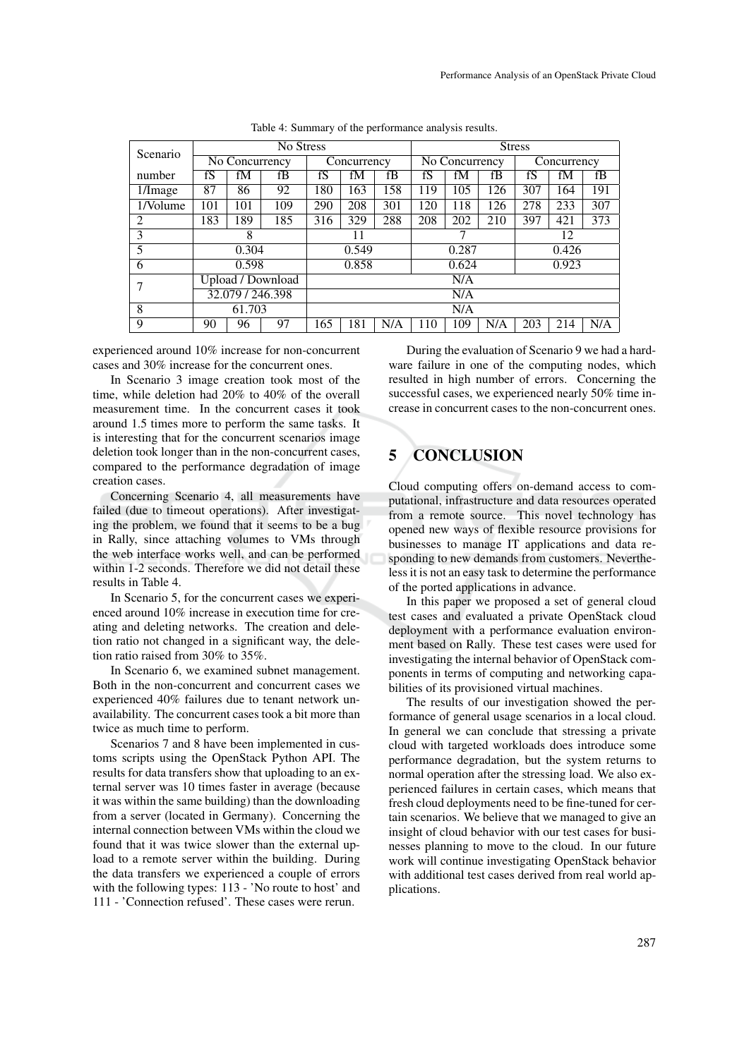| Scenario | No Stress                    |     |             |       | <b>Stress</b>                      |       |       |             |     |     |     |     |
|----------|------------------------------|-----|-------------|-------|------------------------------------|-------|-------|-------------|-----|-----|-----|-----|
|          | $\overline{N}$ o Concurrency |     | Concurrency |       | $\overline{\text{No}}$ Concurrency |       |       | Concurrency |     |     |     |     |
| number   | fS                           | fM  | fB          | fS    | fM                                 | fB    | fS    | fM          | fB  | fS  | fM  | fB  |
| 1/Image  | 87                           | 86  | 92          | 180   | 163                                | 158   | 119   | 105         | 126 | 307 | 164 | 191 |
| 1/Volume | 101                          | 101 | 109         | 290   | 208                                | 301   | 120   | 118         | 126 | 278 | 233 | 307 |
| 2        | 183                          | 189 | 185         | 316   | 329                                | 288   | 208   | 202         | 210 | 397 | 421 | 373 |
| 3        | 8                            |     | 11          |       | 7                                  |       |       | 12          |     |     |     |     |
| 5        | 0.304                        |     | 0.549       |       | 0.287                              |       | 0.426 |             |     |     |     |     |
| 6        | 0.598                        |     |             | 0.858 |                                    | 0.624 |       | 0.923       |     |     |     |     |
|          | Upload / Download            |     |             | N/A   |                                    |       |       |             |     |     |     |     |
|          | 32.079 / 246.398             |     |             | N/A   |                                    |       |       |             |     |     |     |     |
| 8        | 61.703                       |     |             | N/A   |                                    |       |       |             |     |     |     |     |
| 9        | 90                           | 96  | 97          | 165   | 181                                | N/A   | 110   | 109         | N/A | 203 | 214 | N/A |

Table 4: Summary of the performance analysis results.

experienced around 10% increase for non-concurrent cases and 30% increase for the concurrent ones.

In Scenario 3 image creation took most of the time, while deletion had 20% to 40% of the overall measurement time. In the concurrent cases it took around 1.5 times more to perform the same tasks. It is interesting that for the concurrent scenarios image deletion took longer than in the non-concurrent cases, compared to the performance degradation of image creation cases.

Concerning Scenario 4, all measurements have failed (due to timeout operations). After investigating the problem, we found that it seems to be a bug in Rally, since attaching volumes to VMs through the web interface works well, and can be performed within 1-2 seconds. Therefore we did not detail these results in Table 4.

In Scenario 5, for the concurrent cases we experienced around 10% increase in execution time for creating and deleting networks. The creation and deletion ratio not changed in a significant way, the deletion ratio raised from 30% to 35%.

In Scenario 6, we examined subnet management. Both in the non-concurrent and concurrent cases we experienced 40% failures due to tenant network unavailability. The concurrent cases took a bit more than twice as much time to perform.

Scenarios 7 and 8 have been implemented in customs scripts using the OpenStack Python API. The results for data transfers show that uploading to an external server was 10 times faster in average (because it was within the same building) than the downloading from a server (located in Germany). Concerning the internal connection between VMs within the cloud we found that it was twice slower than the external upload to a remote server within the building. During the data transfers we experienced a couple of errors with the following types: 113 - 'No route to host' and 111 - 'Connection refused'. These cases were rerun.

During the evaluation of Scenario 9 we had a hardware failure in one of the computing nodes, which resulted in high number of errors. Concerning the successful cases, we experienced nearly 50% time increase in concurrent cases to the non-concurrent ones.

# 5 CONCLUSION

Cloud computing offers on-demand access to computational, infrastructure and data resources operated from a remote source. This novel technology has opened new ways of flexible resource provisions for businesses to manage IT applications and data responding to new demands from customers. Nevertheless it is not an easy task to determine the performance of the ported applications in advance.

In this paper we proposed a set of general cloud test cases and evaluated a private OpenStack cloud deployment with a performance evaluation environment based on Rally. These test cases were used for investigating the internal behavior of OpenStack components in terms of computing and networking capabilities of its provisioned virtual machines.

The results of our investigation showed the performance of general usage scenarios in a local cloud. In general we can conclude that stressing a private cloud with targeted workloads does introduce some performance degradation, but the system returns to normal operation after the stressing load. We also experienced failures in certain cases, which means that fresh cloud deployments need to be fine-tuned for certain scenarios. We believe that we managed to give an insight of cloud behavior with our test cases for businesses planning to move to the cloud. In our future work will continue investigating OpenStack behavior with additional test cases derived from real world applications.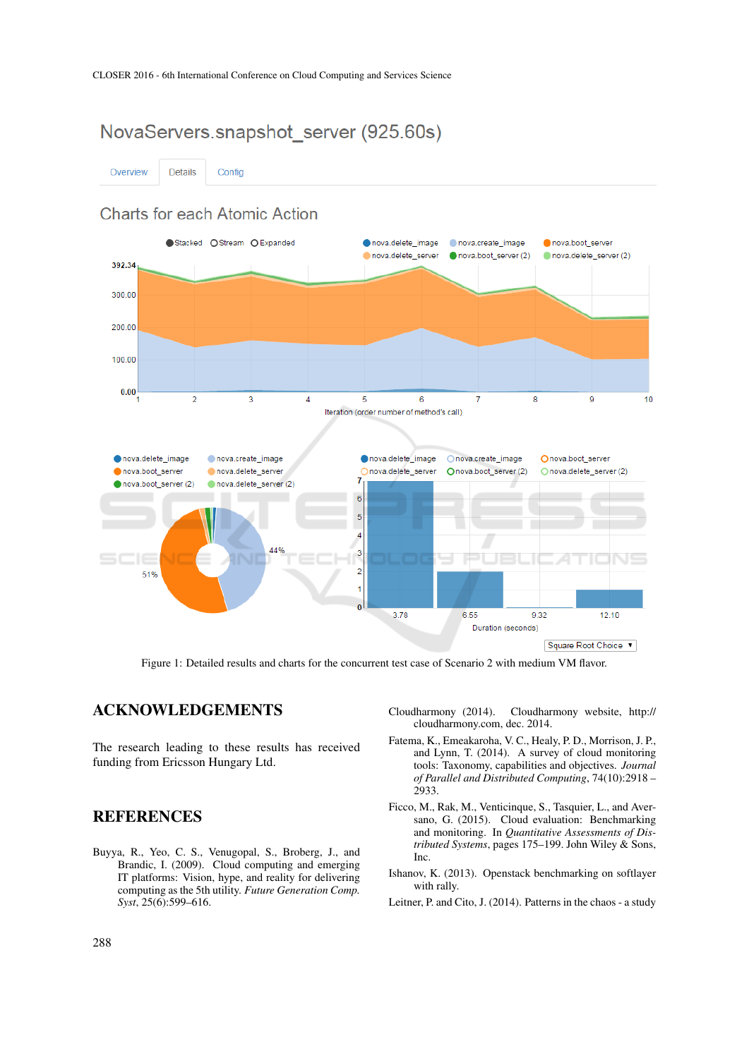# NovaServers.snapshot server (925.60s)

Details Overview Config

# **Charts for each Atomic Action**



Figure 1: Detailed results and charts for the concurrent test case of Scenario 2 with medium VM flavor.

### ACKNOWLEDGEMENTS

The research leading to these results has received funding from Ericsson Hungary Ltd.

### **REFERENCES**

Buyya, R., Yeo, C. S., Venugopal, S., Broberg, J., and Brandic, I. (2009). Cloud computing and emerging IT platforms: Vision, hype, and reality for delivering computing as the 5th utility. *Future Generation Comp. Syst*, 25(6):599–616.

- Cloudharmony (2014). Cloudharmony website, http:// cloudharmony.com, dec. 2014.
- Fatema, K., Emeakaroha, V. C., Healy, P. D., Morrison, J. P., and Lynn, T. (2014). A survey of cloud monitoring tools: Taxonomy, capabilities and objectives. *Journal of Parallel and Distributed Computing*, 74(10):2918 – 2933.
- Ficco, M., Rak, M., Venticinque, S., Tasquier, L., and Aversano, G. (2015). Cloud evaluation: Benchmarking and monitoring. In *Quantitative Assessments of Distributed Systems*, pages 175–199. John Wiley & Sons, Inc.
- Ishanov, K. (2013). Openstack benchmarking on softlayer with rally.
- Leitner, P. and Cito, J. (2014). Patterns in the chaos a study